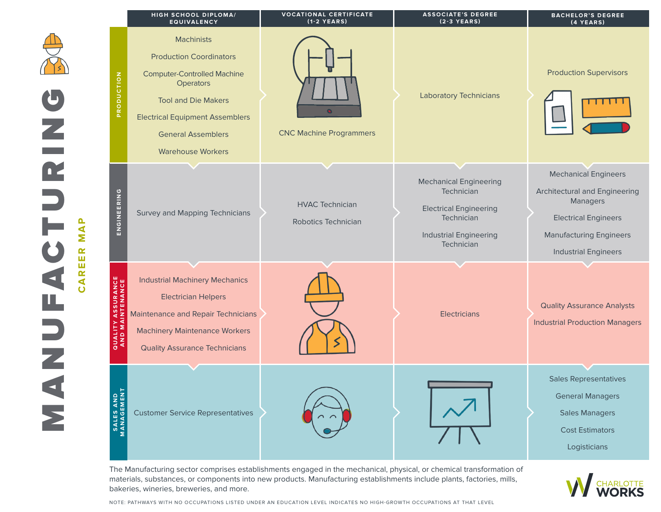|                                                                                   | HIGH SCHOOL DIPLOMA/<br><b>EQUIVALENCY</b>                                                                                                                                                                                                     | <b>VOCATIONAL CERTIFICATE</b><br>$(1-2$ YEARS) | <b>ASSOCIATE'S DEGREE</b><br>$(2-3$ YEARS)                                                                                                | <b>BACHELOR'S DEGREE</b><br>(4 YEARS)                                                                                                                                    |
|-----------------------------------------------------------------------------------|------------------------------------------------------------------------------------------------------------------------------------------------------------------------------------------------------------------------------------------------|------------------------------------------------|-------------------------------------------------------------------------------------------------------------------------------------------|--------------------------------------------------------------------------------------------------------------------------------------------------------------------------|
| PRODUCTION<br>$\overline{\phantom{a}}$                                            | <b>Machinists</b><br><b>Production Coordinators</b><br><b>Computer-Controlled Machine</b><br><b>Operators</b><br><b>Tool and Die Makers</b><br><b>Electrical Equipment Assemblers</b><br><b>General Assemblers</b><br><b>Warehouse Workers</b> | <b>CNC Machine Programmers</b>                 | <b>Laboratory Technicians</b>                                                                                                             | <b>Production Supervisors</b>                                                                                                                                            |
| Œ<br>ENGINEERING<br>Σ<br>$\propto$<br>Ш                                           | Survey and Mapping Technicians                                                                                                                                                                                                                 | <b>HVAC Technician</b><br>Robotics Technician  | <b>Mechanical Engineering</b><br>Technician<br><b>Electrical Engineering</b><br>Technician<br><b>Industrial Engineering</b><br>Technician | <b>Mechanical Engineers</b><br>Architectural and Engineering<br>Managers<br><b>Electrical Engineers</b><br><b>Manufacturing Engineers</b><br><b>Industrial Engineers</b> |
| Ш<br>$\alpha$<br>8 <sub>원</sub><br>⋖<br>$\epsilon$<br>ဖ<br>z<br>⋖<br><b>OUALI</b> | <b>Industrial Machinery Mechanics</b><br><b>Electrician Helpers</b><br><b>Maintenance and Repair Technicians</b><br><b>Machinery Maintenance Workers</b><br><b>Quality Assurance Technicians</b>                                               |                                                | Electricians                                                                                                                              | <b>Quality Assurance Analysts</b><br><b>Industrial Production Managers</b>                                                                                               |
| AND<br>EMENT<br>SALES<br>MANAG                                                    | <b>Customer Service Representatives</b>                                                                                                                                                                                                        |                                                |                                                                                                                                           | <b>Sales Representatives</b><br><b>General Managers</b><br><b>Sales Managers</b><br><b>Cost Estimators</b><br>Logisticians                                               |

The Manufacturing sector comprises establishments engaged in the mechanical, physical, or chemical transformation of materials, substances, or components into new products. Manufacturing establishments include plants, factories, mills, bakeries, wineries, breweries, and more.

**CHARLOTTE** 

NOTE: PATHWAYS WITH NO OCCUPATIONS LISTED UNDER AN EDUCATION LEVEL INDICATES NO HIGH-GROWTH OCCUPATIONS AT THAT LEVEL